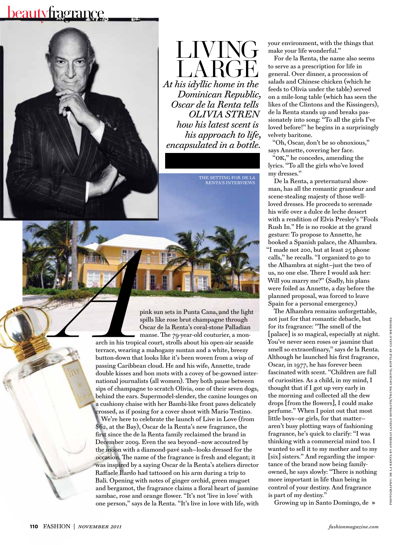## beautyfragrance



living A RG *At his idyllic home in the Dominican Republic, Oscar de la Renta tells OLIVIA STREN how his latest scent is his approach to life, encapsulated in a bottle.*

> the setting for de la renta's interviews

pink sun sets in Punta Cana, and the light spills like rose brut champagne through Oscar de la Renta's coral-stone Palladian manse. The 79-year-old couturier, a mon-

**a**<br>**arch** in his tropics<br>terrace, wearing a<br>button-down that arch in his tropical court, strolls about his open-air seaside terrace, wearing a mahogany suntan and a white, breezy button-down that looks like it's been woven from a wisp of passing Caribbean cloud. He and his wife, Annette, trade double kisses and bon mots with a covey of be-gowned international journalists (all women). They both pause between sips of champagne to scratch Olivia, one of their seven dogs, behind the ears. Supermodel-slender, the canine lounges on a cushiony chaise with her Bambi-like front paws delicately crossed, as if posing for a cover shoot with Mario Testino. We're here to celebrate the launch of Live in Love (from \$62, at the Bay), Oscar de la Renta's new fragrance, the first since the de la Renta family reclaimed the brand in December 2009. Even the sea beyond—now accoutred by the moon with a diamond-pavé sash—looks dressed for the occasion. The name of the fragrance is fresh and elegant; it was inspired by a saying Oscar de la Renta's ateliers director Raffaele Ilardo had tattooed on his arm during a trip to Bali. Opening with notes of ginger orchid, green muguet and bergamot, the fragrance claims a floral heart of jasmine sambac, rose and orange flower. "It's not 'live in love' with one person," says de la Renta. "It's live in love with life, with your environment, with the things that make your life wonderful."

For de la Renta, the name also seems to serve as a prescription for life in general. Over dinner, a procession of salads and Chinese chicken (which he feeds to Olivia under the table) served on a mile-long table (which has seen the likes of the Clintons and the Kissingers), de la Renta stands up and breaks passionately into song: "To all the girls I've loved before!" he begins in a surprisingly velvety baritone.

"Oh, Oscar, don't be so obnoxious," says Annette, covering her face.

"ok," he concedes, amending the lyrics. "To all the girls who've loved my dresses."

De la Renta, a preternatural showman, has all the romantic grandeur and scene-stealing majesty of those wellloved dresses. He proceeds to serenade his wife over a dulce de leche dessert with a rendition of Elvis Presley's "Fools Rush In." He is no rookie at the grand gesture: To propose to Annette, he booked a Spanish palace, the Alhambra. "I made not 200, but at least 25 phone calls," he recalls. "I organized to go to the Alhambra at night—just the two of us, no one else. There I would ask her: Will you marry me?" (Sadly, his plans were foiled as Annette, a day before the planned proposal, was forced to leave Spain for a personal emergency.)

The Alhambra remains unforgettable, not just for that romantic debacle, but for its fragrance: "The smell of the [palace] is so magical, especially at night. You've never seen roses or jasmine that smell so extraordinary," says de la Renta. Although he launched his first fragrance, Oscar, in 1977, he has forever been fascinated with scent. "Children are full of curiosities. As a child, in my mind, I thought that if I got up very early in the morning and collected all the dew drops [from the flowers], I could make perfume." When I point out that most little boys—or girls, for that matter aren't busy plotting ways of fashioning fragrance, he's quick to clarify: "I was thinking with a commercial mind too. I wanted to sell it to my mother and to my [six] sisters." And regarding the importance of the brand now being familyowned, he says slowly: "There is nothing more important in life than being in control of your destiny. And fragrance is part of my destiny."

Growing up in Santo Domingo, de »